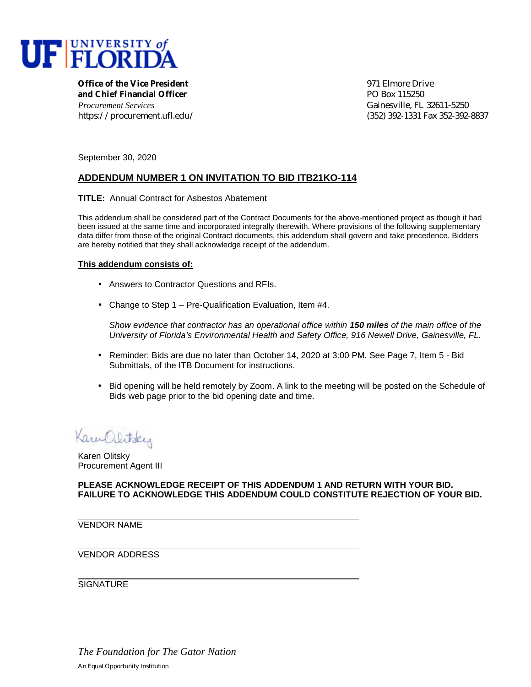

**Office of the Vice President** and the settlement of the Second 1971 Elmore Drive **and Chief Financial Officer** PO Box 115250 *Procurement Services* Gainesville, FL 32611-5250

https://procurement.ufl.edu/ (352) 392-1331 Fax 352-392-8837

September 30, 2020

## **ADDENDUM NUMBER 1 ON INVITATION TO BID ITB21KO-114**

**TITLE:** Annual Contract for Asbestos Abatement

This addendum shall be considered part of the Contract Documents for the above-mentioned project as though it had been issued at the same time and incorporated integrally therewith. Where provisions of the following supplementary data differ from those of the original Contract documents, this addendum shall govern and take precedence. Bidders are hereby notified that they shall acknowledge receipt of the addendum.

## **This addendum consists of:**

- Answers to Contractor Questions and RFIs.
- Change to Step 1 Pre-Qualification Evaluation, Item #4.

*Show evidence that contractor has an operational office within 150 miles of the main office of the University of Florida's Environmental Health and Safety Office, 916 Newell Drive, Gainesville, FL.*

- Reminder: Bids are due no later than October 14, 2020 at 3:00 PM. See Page 7, Item 5 Bid Submittals, of the ITB Document for instructions.
- Bid opening will be held remotely by Zoom. A link to the meeting will be posted on the Schedule of Bids web page prior to the bid opening date and time.

Kamplitsky

Karen Olitsky Procurement Agent III

**PLEASE ACKNOWLEDGE RECEIPT OF THIS ADDENDUM 1 AND RETURN WITH YOUR BID. FAILURE TO ACKNOWLEDGE THIS ADDENDUM COULD CONSTITUTE REJECTION OF YOUR BID.**

VENDOR NAME

VENDOR ADDRESS

**SIGNATURE**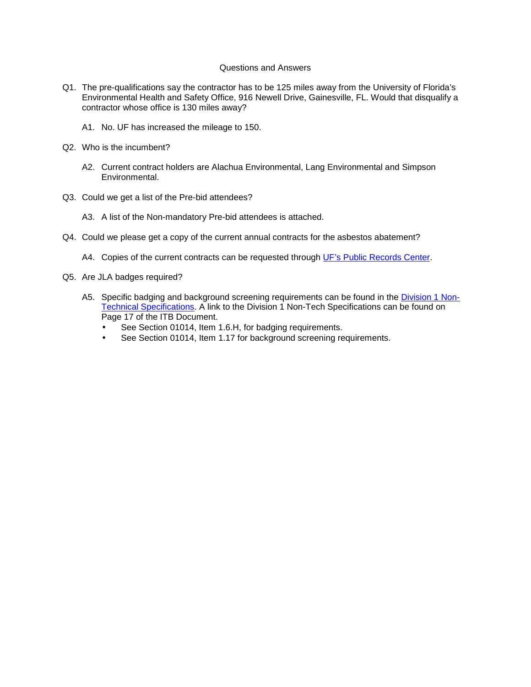## Questions and Answers

- Q1. The pre-qualifications say the contractor has to be 125 miles away from the University of Florida's Environmental Health and Safety Office, 916 Newell Drive, Gainesville, FL. Would that disqualify a contractor whose office is 130 miles away?
	- A1. No. UF has increased the mileage to 150.
- Q2. Who is the incumbent?
	- A2. Current contract holders are Alachua Environmental, Lang Environmental and Simpson Environmental.
- Q3. Could we get a list of the Pre-bid attendees?
	- A3. A list of the Non-mandatory Pre-bid attendees is attached.
- Q4. Could we please get a copy of the current annual contracts for the asbestos abatement?
	- A4. Copies of the current contracts can be requested through [UF's Public Records Center.](http://publicrecords.ufl.edu/)
- Q5. Are JLA badges required?
	- A5. [Specific badging and background screening requirements can be found in the Division 1 Non-](https://facilities.ufl.edu/forms/contracts/Div1_NonTech_Specs_JULY_2017.pdf)Technical Specifications. A link to the Division 1 Non-Tech Specifications can be found on Page 17 of the ITB Document.
		- See Section 01014, Item 1.6.H, for badging requirements.
		- See Section 01014, Item 1.17 for background screening requirements.